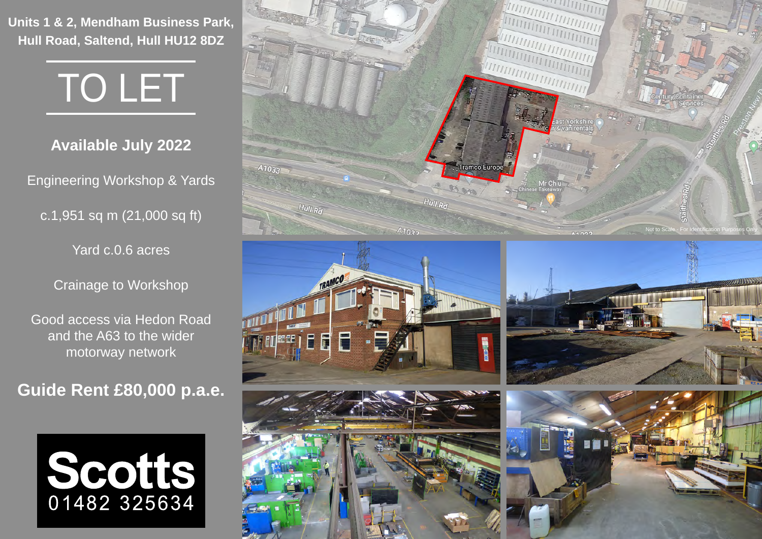**Units 1 & 2, Mendham Business Park, Hull Road, Saltend, Hull HU12 8DZ**



**Available July 2022**

Engineering Workshop & Yards

c.1,951 sq m (21,000 sq ft)

Yard c.0.6 acres

Crainage to Workshop

Good access via Hedon Road and the A63 to the wider motorway network

**Guide Rent £80,000 p.a.e.**